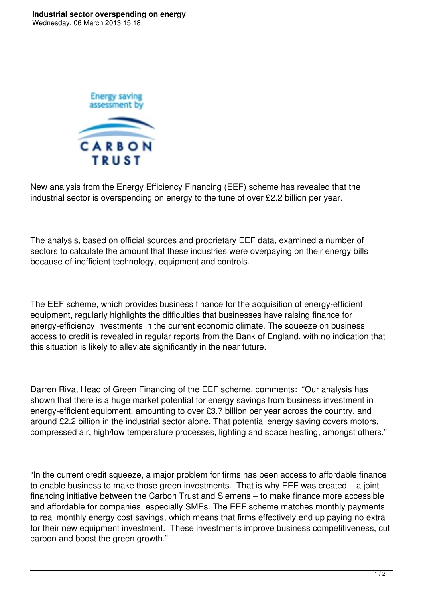

New analysis from the Energy Efficiency Financing (EEF) scheme has revealed that the industrial sector is overspending on energy to the tune of over £2.2 billion per year.

The analysis, based on official sources and proprietary EEF data, examined a number of sectors to calculate the amount that these industries were overpaying on their energy bills because of inefficient technology, equipment and controls.

The EEF scheme, which provides business finance for the acquisition of energy-efficient equipment, regularly highlights the difficulties that businesses have raising finance for energy-efficiency investments in the current economic climate. The squeeze on business access to credit is revealed in regular reports from the Bank of England, with no indication that this situation is likely to alleviate significantly in the near future.

Darren Riva, Head of Green Financing of the EEF scheme, comments: "Our analysis has shown that there is a huge market potential for energy savings from business investment in energy-efficient equipment, amounting to over £3.7 billion per year across the country, and around £2.2 billion in the industrial sector alone. That potential energy saving covers motors, compressed air, high/low temperature processes, lighting and space heating, amongst others."

"In the current credit squeeze, a major problem for firms has been access to affordable finance to enable business to make those green investments. That is why EEF was created – a joint financing initiative between the Carbon Trust and Siemens – to make finance more accessible and affordable for companies, especially SMEs. The EEF scheme matches monthly payments to real monthly energy cost savings, which means that firms effectively end up paying no extra for their new equipment investment. These investments improve business competitiveness, cut carbon and boost the green growth."